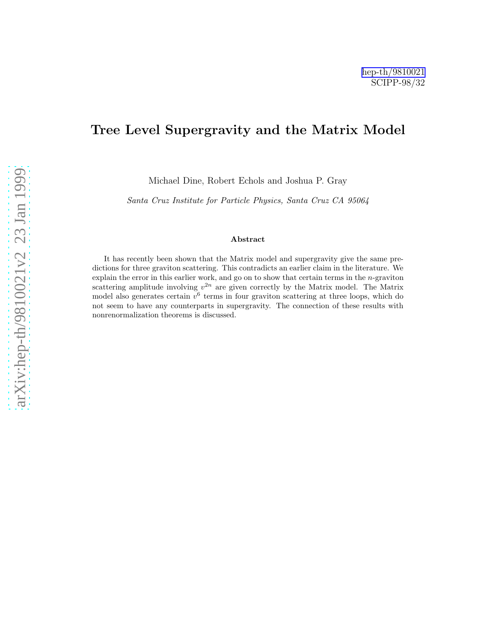# Tree Level Supergravity and the Matrix Model

Michael Dine, Robert Echols and Joshua P. Gray

Santa Cruz Institute for Particle Physics, Santa Cruz CA 95064

#### Abstract

It has recently been shown that the Matrix model and supergravity give the same predictions for three graviton scattering. This contradicts an earlier claim in the literature. We explain the error in this earlier work, and go on to show that certain terms in the  $n$ -graviton scattering amplitude involving  $v^{2n}$  are given correctly by the Matrix model. The Matrix model also generates certain  $v^6$  terms in four graviton scattering at three loops, which do not seem to have any counterparts in supergravity. The connection of these results with nonrenormalization theorems is discussed.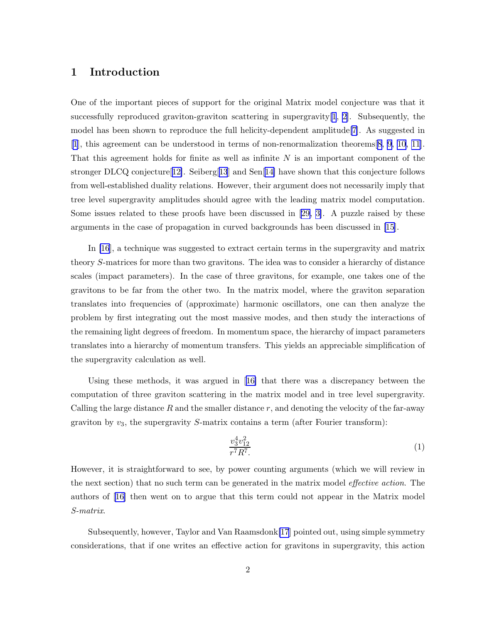### 1 Introduction

One of the important pieces of support for the original Matrix model conjecture was that it successfully reproduced graviton-graviton scattering in supergravity[[1](#page-16-0), [2\]](#page-16-0). Subsequently, the model has been shown to reproduce the full helicity-dependent amplitude[\[7](#page-17-0)]. As suggested in [\[1](#page-16-0)], this agreement can be understood in terms of non-renormalization theorems[[8](#page-17-0), [9, 10, 11\]](#page-17-0). That this agreement holds for finite as well as infinite  $N$  is an important component of the stronger DLCQ conjecture<sup>[[12\]](#page-17-0)</sup>. Seiberg<sup>[[13](#page-17-0)]</sup> and Sen<sup>[[14\]](#page-17-0)</sup> have shown that this conjecture follows from well-established duality relations. However, their argument does not necessarily imply that tree level supergravity amplitudes should agree with the leading matrix model computation. Some issues related to these proofs have been discussed in[[29,](#page-18-0) [3\]](#page-16-0). A puzzle raised by these arguments in the case of propagation in curved backgrounds has been discussed in [\[15](#page-17-0)].

In [\[16](#page-17-0)], a technique was suggested to extract certain terms in the supergravity and matrix theory S-matrices for more than two gravitons. The idea was to consider a hierarchy of distance scales (impact parameters). In the case of three gravitons, for example, one takes one of the gravitons to be far from the other two. In the matrix model, where the graviton separation translates into frequencies of (approximate) harmonic oscillators, one can then analyze the problem by first integrating out the most massive modes, and then study the interactions of the remaining light degrees of freedom. In momentum space, the hierarchy of impact parameters translates into a hierarchy of momentum transfers. This yields an appreciable simplification of the supergravity calculation as well.

Using these methods, it was argued in[[16\]](#page-17-0) that there was a discrepancy between the computation of three graviton scattering in the matrix model and in tree level supergravity. Calling the large distance  $R$  and the smaller distance  $r$ , and denoting the velocity of the far-away graviton by  $v_3$ , the supergravity S-matrix contains a term (after Fourier transform):

$$
\frac{v_3^4 v_{12}^2}{r^7 R^7} \tag{1}
$$

However, it is straightforward to see, by power counting arguments (which we will review in the next section) that no such term can be generated in the matrix model effective action. The authors of[[16\]](#page-17-0) then went on to argue that this term could not appear in the Matrix model S-matrix.

Subsequently, however, Taylor and Van Raamsdonk[\[17](#page-17-0)] pointed out, using simple symmetry considerations, that if one writes an effective action for gravitons in supergravity, this action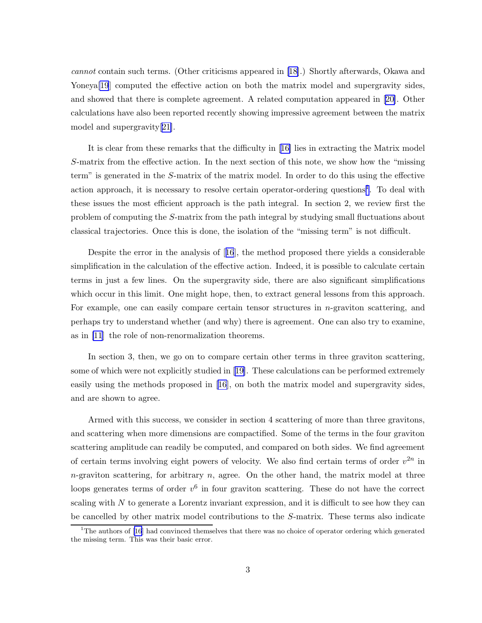cannot contain such terms. (Other criticisms appeared in [\[18](#page-17-0)].) Shortly afterwards, Okawa and Yoneya<sup>[\[19](#page-17-0)]</sup> computed the effective action on both the matrix model and supergravity sides, and showed that there is complete agreement. A related computation appeared in[[20\]](#page-17-0). Other calculations have also been reported recently showing impressive agreement between the matrix model and supergravity[[21\]](#page-17-0).

It is clear from these remarks that the difficulty in[[16\]](#page-17-0) lies in extracting the Matrix model S-matrix from the effective action. In the next section of this note, we show how the "missing term" is generated in the S-matrix of the matrix model. In order to do this using the effective action approach, it is necessary to resolve certain operator-ordering questions<sup>1</sup>. To deal with these issues the most efficient approach is the path integral. In section 2, we review first the problem of computing the S-matrix from the path integral by studying small fluctuations about classical trajectories. Once this is done, the isolation of the "missing term" is not difficult.

Despite the error in the analysis of[[16](#page-17-0)], the method proposed there yields a considerable simplification in the calculation of the effective action. Indeed, it is possible to calculate certain terms in just a few lines. On the supergravity side, there are also significant simplifications which occur in this limit. One might hope, then, to extract general lessons from this approach. For example, one can easily compare certain tensor structures in n-graviton scattering, and perhaps try to understand whether (and why) there is agreement. One can also try to examine, as in [\[11](#page-17-0)] the role of non-renormalization theorems.

In section 3, then, we go on to compare certain other terms in three graviton scattering, some of which were not explicitly studied in[[19\]](#page-17-0). These calculations can be performed extremely easily using the methods proposed in [\[16](#page-17-0)], on both the matrix model and supergravity sides, and are shown to agree.

Armed with this success, we consider in section 4 scattering of more than three gravitons, and scattering when more dimensions are compactified. Some of the terms in the four graviton scattering amplitude can readily be computed, and compared on both sides. We find agreement of certain terms involving eight powers of velocity. We also find certain terms of order  $v^{2n}$  in  $n$ -graviton scattering, for arbitrary n, agree. On the other hand, the matrix model at three loops generates terms of order  $v^6$  in four graviton scattering. These do not have the correct scaling with  $N$  to generate a Lorentz invariant expression, and it is difficult to see how they can be cancelled by other matrix model contributions to the S-matrix. These terms also indicate

<sup>&</sup>lt;sup>1</sup>The authors of [\[16](#page-17-0)] had convinced themselves that there was no choice of operator ordering which generated the missing term. This was their basic error.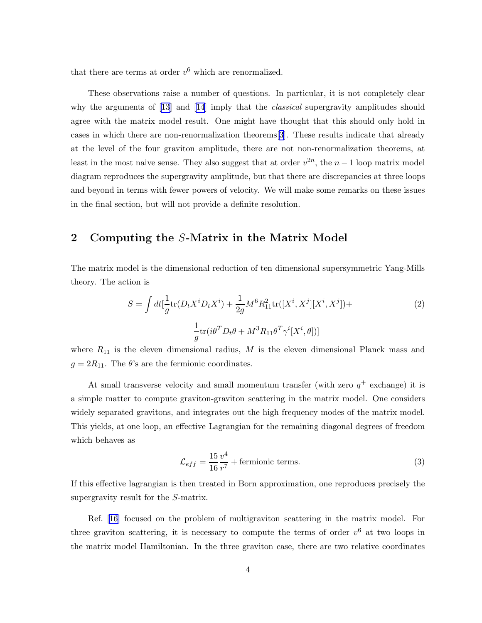that there are terms at order  $v^6$  which are renormalized.

These observations raise a number of questions. In particular, it is not completely clear why the arguments of [\[13\]](#page-17-0) and [\[14](#page-17-0)] imply that the *classical* supergravity amplitudes should agree with the matrix model result. One might have thought that this should only hold in cases in which there are non-renormalization theorems[\[3](#page-16-0)]. These results indicate that already at the level of the four graviton amplitude, there are not non-renormalization theorems, at least in the most naive sense. They also suggest that at order  $v^{2n}$ , the  $n-1$  loop matrix model diagram reproduces the supergravity amplitude, but that there are discrepancies at three loops and beyond in terms with fewer powers of velocity. We will make some remarks on these issues in the final section, but will not provide a definite resolution.

### 2 Computing the S-Matrix in the Matrix Model

The matrix model is the dimensional reduction of ten dimensional supersymmetric Yang-Mills theory. The action is

$$
S = \int dt \left[\frac{1}{g} \text{tr}(D_t X^i D_t X^i) + \frac{1}{2g} M^6 R_{11}^2 \text{tr}([X^i, X^j][X^i, X^j]) + \frac{1}{g} \text{tr}(i\theta^T D_t \theta + M^3 R_{11} \theta^T \gamma^i [X^i, \theta])\right]
$$
\n(2)

where  $R_{11}$  is the eleven dimensional radius, M is the eleven dimensional Planck mass and  $g = 2R_{11}$ . The  $\theta$ 's are the fermionic coordinates.

At small transverse velocity and small momentum transfer (with zero  $q^+$  exchange) it is a simple matter to compute graviton-graviton scattering in the matrix model. One considers widely separated gravitons, and integrates out the high frequency modes of the matrix model. This yields, at one loop, an effective Lagrangian for the remaining diagonal degrees of freedom which behaves as

$$
\mathcal{L}_{eff} = \frac{15}{16} \frac{v^4}{r^7} + \text{fermionic terms.} \tag{3}
$$

If this effective lagrangian is then treated in Born approximation, one reproduces precisely the supergravity result for the S-matrix.

Ref.[[16\]](#page-17-0) focused on the problem of multigraviton scattering in the matrix model. For three graviton scattering, it is necessary to compute the terms of order  $v^6$  at two loops in the matrix model Hamiltonian. In the three graviton case, there are two relative coordinates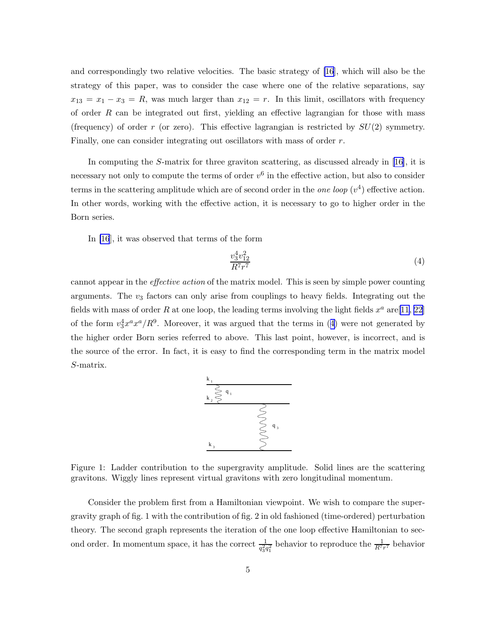and correspondingly two relative velocities. The basic strategy of [\[16](#page-17-0)], which will also be the strategy of this paper, was to consider the case where one of the relative separations, say  $x_{13} = x_1 - x_3 = R$ , was much larger than  $x_{12} = r$ . In this limit, oscillators with frequency of order  $R$  can be integrated out first, yielding an effective lagrangian for those with mass (frequency) of order r (or zero). This effective lagrangian is restricted by  $SU(2)$  symmetry. Finally, one can consider integrating out oscillators with mass of order r.

In computing the S-matrix for three graviton scattering, as discussed already in [\[16](#page-17-0)], it is necessary not only to compute the terms of order  $v^6$  in the effective action, but also to consider terms in the scattering amplitude which are of second order in the *one loop*  $(v^4)$  effective action. In other words, working with the effective action, it is necessary to go to higher order in the Born series.

In [\[16](#page-17-0)], it was observed that terms of the form

$$
\frac{v_3^4 v_{12}^2}{R^7 r^7} \tag{4}
$$

cannot appear in the effective action of the matrix model. This is seen by simple power counting arguments. The  $v_3$  factors can only arise from couplings to heavy fields. Integrating out the fields with mass of order R at one loop, the leading terms involving the light fields  $x^a$  are [\[11](#page-17-0), [22](#page-17-0)] of the form  $v_3^4 x^a x^a/R^9$ . Moreover, it was argued that the terms in (4) were not generated by the higher order Born series referred to above. This last point, however, is incorrect, and is the source of the error. In fact, it is easy to find the corresponding term in the matrix model S-matrix.



Figure 1: Ladder contribution to the supergravity amplitude. Solid lines are the scattering gravitons. Wiggly lines represent virtual gravitons with zero longitudinal momentum.

Consider the problem first from a Hamiltonian viewpoint. We wish to compare the supergravity graph of fig. 1 with the contribution of fig. 2 in old fashioned (time-ordered) perturbation theory. The second graph represents the iteration of the one loop effective Hamiltonian to second order. In momentum space, it has the correct  $\frac{1}{q_3^2 q_1^2}$  behavior to reproduce the  $\frac{1}{R^7 r^7}$  behavior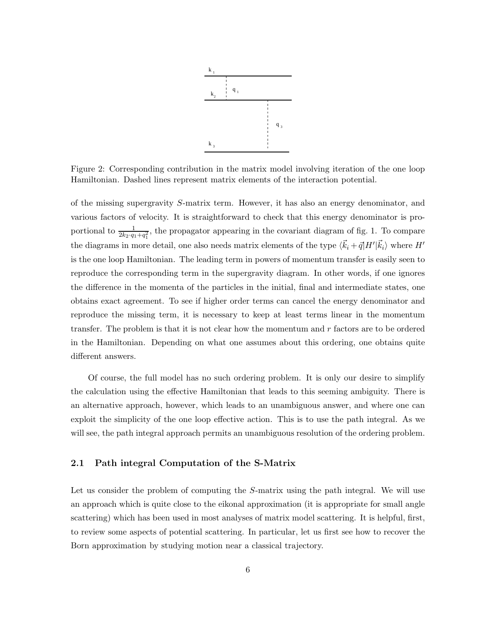

Figure 2: Corresponding contribution in the matrix model involving iteration of the one loop Hamiltonian. Dashed lines represent matrix elements of the interaction potential.

of the missing supergravity S-matrix term. However, it has also an energy denominator, and various factors of velocity. It is straightforward to check that this energy denominator is proportional to  $\frac{1}{2k_2\cdot q_1+q_1^2}$ , the propagator appearing in the covariant diagram of fig. 1. To compare the diagrams in more detail, one also needs matrix elements of the type  $\langle \vec{k}_i + \vec{q} | H' | \vec{k}_i \rangle$  where  $H'$ is the one loop Hamiltonian. The leading term in powers of momentum transfer is easily seen to reproduce the corresponding term in the supergravity diagram. In other words, if one ignores the difference in the momenta of the particles in the initial, final and intermediate states, one obtains exact agreement. To see if higher order terms can cancel the energy denominator and reproduce the missing term, it is necessary to keep at least terms linear in the momentum transfer. The problem is that it is not clear how the momentum and  $r$  factors are to be ordered in the Hamiltonian. Depending on what one assumes about this ordering, one obtains quite different answers.

Of course, the full model has no such ordering problem. It is only our desire to simplify the calculation using the effective Hamiltonian that leads to this seeming ambiguity. There is an alternative approach, however, which leads to an unambiguous answer, and where one can exploit the simplicity of the one loop effective action. This is to use the path integral. As we will see, the path integral approach permits an unambiguous resolution of the ordering problem.

#### 2.1 Path integral Computation of the S-Matrix

Let us consider the problem of computing the S-matrix using the path integral. We will use an approach which is quite close to the eikonal approximation (it is appropriate for small angle scattering) which has been used in most analyses of matrix model scattering. It is helpful, first, to review some aspects of potential scattering. In particular, let us first see how to recover the Born approximation by studying motion near a classical trajectory.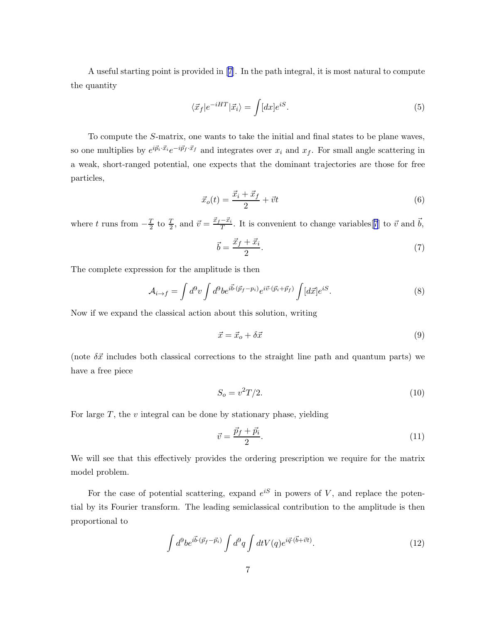A useful starting point is provided in[[7](#page-17-0)]. In the path integral, it is most natural to compute the quantity

$$
\langle \vec{x}_f | e^{-iHT} | \vec{x}_i \rangle = \int [dx] e^{iS}.
$$
\n(5)

To compute the S-matrix, one wants to take the initial and final states to be plane waves, so one multiplies by  $e^{i\vec{p}_i \cdot \vec{x}_i}e^{-i\vec{p}_f \cdot \vec{x}_f}$  and integrates over  $x_i$  and  $x_f$ . For small angle scattering in a weak, short-ranged potential, one expects that the dominant trajectories are those for free particles,

$$
\vec{x}_o(t) = \frac{\vec{x}_i + \vec{x}_f}{2} + \vec{v}t\tag{6}
$$

where t runs from  $-\frac{T}{2}$  $\frac{T}{2}$  to  $\frac{T}{2}$ , and  $\vec{v} = \frac{\vec{x}_f - \vec{x}_i}{T}$  $\frac{-\vec{x}_i}{T}$ . It is convenient to change variables[[7](#page-17-0)] to  $\vec{v}$  and  $\vec{b}$ ,

$$
\vec{b} = \frac{\vec{x}_f + \vec{x}_i}{2}.\tag{7}
$$

The complete expression for the amplitude is then

$$
\mathcal{A}_{i \to f} = \int d^9 v \int d^9 b e^{i \vec{b} \cdot (\vec{p}_f - p_i)} e^{i \vec{v} \cdot (\vec{p}_i + \vec{p}_f)} \int [d\vec{x}] e^{iS}.
$$
\n(8)

Now if we expand the classical action about this solution, writing

$$
\vec{x} = \vec{x}_o + \delta \vec{x} \tag{9}
$$

(note  $\delta \vec{x}$  includes both classical corrections to the straight line path and quantum parts) we have a free piece

$$
S_o = v^2 T/2. \tag{10}
$$

For large  $T$ , the  $v$  integral can be done by stationary phase, yielding

$$
\vec{v} = \frac{\vec{p}_f + \vec{p}_i}{2}.\tag{11}
$$

We will see that this effectively provides the ordering prescription we require for the matrix model problem.

For the case of potential scattering, expand  $e^{iS}$  in powers of V, and replace the potential by its Fourier transform. The leading semiclassical contribution to the amplitude is then proportional to

$$
\int d^9b e^{i\vec{b}\cdot(\vec{p}_f - \vec{p}_i)} \int d^9q \int dt V(q) e^{i\vec{q}\cdot(\vec{b} + \vec{v}t)}.
$$
\n(12)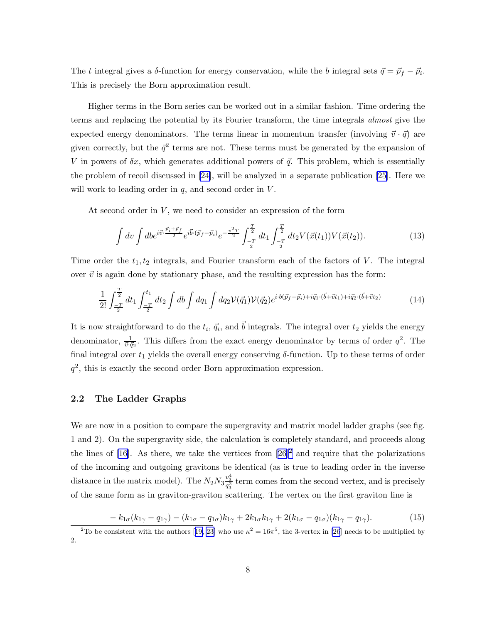The t integral gives a  $\delta$ -function for energy conservation, while the b integral sets  $\vec{q} = \vec{p}_f - \vec{p}_i$ . This is precisely the Born approximation result.

Higher terms in the Born series can be worked out in a similar fashion. Time ordering the terms and replacing the potential by its Fourier transform, the time integrals almost give the expected energy denominators. The terms linear in momentum transfer (involving  $\vec{v} \cdot \vec{q}$ ) are given correctly, but the  $\bar{q}^2$  terms are not. These terms must be generated by the expansion of V in powers of  $\delta x$ , which generates additional powers of  $\vec{q}$ . This problem, which is essentially the problem of recoil discussed in [\[24](#page-18-0)], will be analyzed in a separate publication [\[25](#page-18-0)]. Here we will work to leading order in  $q$ , and second order in  $V$ .

At second order in  $V$ , we need to consider an expression of the form

$$
\int dv \int db e^{i\vec{v} \cdot \frac{\vec{p}_i + \vec{p}_f}{2}} e^{i\vec{b} \cdot (\vec{p}_f - \vec{p}_i)} e^{-\frac{v^2 T}{2}} \int_{-\frac{T}{2}}^{\frac{T}{2}} dt_1 \int_{-\frac{T}{2}}^{\frac{T}{2}} dt_2 V(\vec{x}(t_1)) V(\vec{x}(t_2)). \tag{13}
$$

Time order the  $t_1, t_2$  integrals, and Fourier transform each of the factors of V. The integral over  $\vec{v}$  is again done by stationary phase, and the resulting expression has the form:

$$
\frac{1}{2!} \int_{-\frac{T}{2}}^{\frac{T}{2}} dt_1 \int_{-\frac{T}{2}}^{t_1} dt_2 \int db \int dq_1 \int dq_2 \mathcal{V}(\vec{q}_1) \mathcal{V}(\vec{q}_2) e^{i \cdot b(\vec{p}_f - \vec{p}_i) + i\vec{q}_1 \cdot (\vec{b} + \vec{v}t_1) + i\vec{q}_2 \cdot (\vec{b} + \vec{v}t_2)} \tag{14}
$$

It is now straightforward to do the  $t_i, \vec{q_i}$ , and  $\vec{b}$  integrals. The integral over  $t_2$  yields the energy denominator,  $\frac{1}{\vec{v}\cdot\vec{q}_2}$ . This differs from the exact energy denominator by terms of order  $q^2$ . The final integral over  $t_1$  yields the overall energy conserving  $\delta$ -function. Up to these terms of order  $q^2$ , this is exactly the second order Born approximation expression.

### 2.2 The Ladder Graphs

We are now in a position to compare the supergravity and matrix model ladder graphs (see fig. 1 and 2). On the supergravity side, the calculation is completely standard, and proceeds along thelines of  $[16]$  $[16]$  $[16]$ . As there, we take the vertices from  $[26]$ <sup>2</sup> and require that the polarizations of the incoming and outgoing gravitons be identical (as is true to leading order in the inverse distance in the matrix model). The  $N_2 N_3 \frac{v_3^4}{q_3^2}$  term comes from the second vertex, and is precisely of the same form as in graviton-graviton scattering. The vertex on the first graviton line is

$$
-k_{1\sigma}(k_{1\gamma}-q_{1\gamma})-(k_{1\sigma}-q_{1\sigma})k_{1\gamma}+2k_{1\sigma}k_{1\gamma}+2(k_{1\sigma}-q_{1\sigma})(k_{1\gamma}-q_{1\gamma}).
$$
\n(15)

<sup>&</sup>lt;sup>2</sup>Tobe consistent with the authors [[19,](#page-17-0) [23\]](#page-18-0) who use  $\kappa^2 = 16\pi^5$ , the 3-vertex in [\[26](#page-18-0)] needs to be multiplied by 2.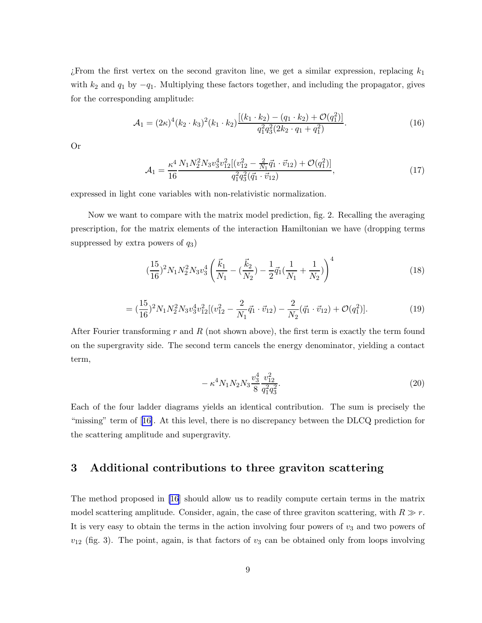From the first vertex on the second graviton line, we get a similar expression, replacing  $k_1$ with  $k_2$  and  $q_1$  by  $-q_1$ . Multiplying these factors together, and including the propagator, gives for the corresponding amplitude:

$$
\mathcal{A}_1 = (2\kappa)^4 (k_2 \cdot k_3)^2 (k_1 \cdot k_2) \frac{[(k_1 \cdot k_2) - (q_1 \cdot k_2) + \mathcal{O}(q_1^2)]}{q_1^2 q_3^2 (2k_2 \cdot q_1 + q_1^2)}.
$$
(16)

Or

$$
\mathcal{A}_1 = \frac{\kappa^4}{16} \frac{N_1 N_2^2 N_3 v_3^4 v_{12}^2 [(v_{12}^2 - \frac{2}{N_1} \vec{q}_1 \cdot \vec{v}_{12}) + \mathcal{O}(q_1^2)]}{q_1^2 q_3^2 (\vec{q}_1 \cdot \vec{v}_{12})},
$$
(17)

expressed in light cone variables with non-relativistic normalization.

Now we want to compare with the matrix model prediction, fig. 2. Recalling the averaging prescription, for the matrix elements of the interaction Hamiltonian we have (dropping terms suppressed by extra powers of  $q_3$ )

$$
\left(\frac{15}{16}\right)^2 N_1 N_2^2 N_3 v_3^4 \left(\frac{\vec{k}_1}{N_1} - \left(\frac{\vec{k}_2}{N_2}\right) - \frac{1}{2}\vec{q}_1 \left(\frac{1}{N_1} + \frac{1}{N_2}\right)\right)^4 \tag{18}
$$

$$
= \left(\frac{15}{16}\right)^2 N_1 N_2^2 N_3 v_3^4 v_{12}^2 \left[ \left(v_{12}^2 - \frac{2}{N_1} \vec{q}_1 \cdot \vec{v}_{12}\right) - \frac{2}{N_2} (\vec{q}_1 \cdot \vec{v}_{12}) + \mathcal{O}(q_1^2) \right].\tag{19}
$$

After Fourier transforming r and R (not shown above), the first term is exactly the term found on the supergravity side. The second term cancels the energy denominator, yielding a contact term,

$$
- \kappa^4 N_1 N_2 N_3 \frac{v_3^4}{8} \frac{v_{12}^2}{q_1^2 q_3^2}.
$$
\n(20)

Each of the four ladder diagrams yields an identical contribution. The sum is precisely the "missing" term of[[16\]](#page-17-0). At this level, there is no discrepancy between the DLCQ prediction for the scattering amplitude and supergravity.

# 3 Additional contributions to three graviton scattering

The method proposed in [\[16](#page-17-0)] should allow us to readily compute certain terms in the matrix model scattering amplitude. Consider, again, the case of three graviton scattering, with  $R \gg r$ . It is very easy to obtain the terms in the action involving four powers of  $v_3$  and two powers of  $v_{12}$  (fig. 3). The point, again, is that factors of  $v_3$  can be obtained only from loops involving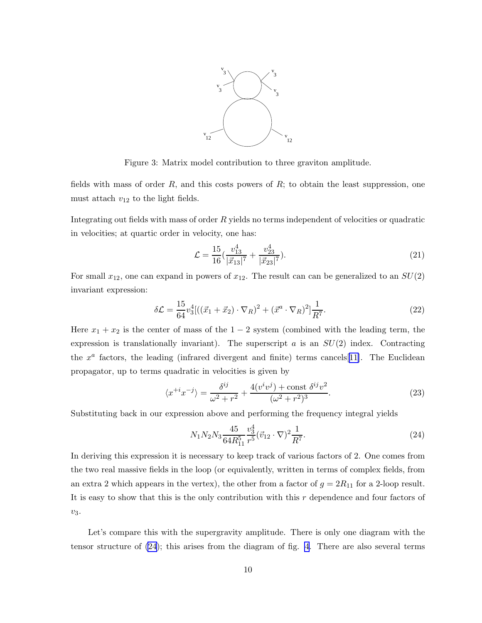

Figure 3: Matrix model contribution to three graviton amplitude.

<span id="page-9-0"></span>fields with mass of order  $R$ , and this costs powers of  $R$ ; to obtain the least suppression, one must attach  $v_{12}$  to the light fields.

Integrating out fields with mass of order  $R$  yields no terms independent of velocities or quadratic in velocities; at quartic order in velocity, one has:

$$
\mathcal{L} = \frac{15}{16} \left( \frac{v_{13}^4}{|\vec{x}_{13}|^7} + \frac{v_{23}^4}{|\vec{x}_{23}|^7} \right). \tag{21}
$$

For small  $x_{12}$ , one can expand in powers of  $x_{12}$ . The result can can be generalized to an  $SU(2)$ invariant expression:

$$
\delta \mathcal{L} = \frac{15}{64} v_3^4 [((\vec{x}_1 + \vec{x}_2) \cdot \nabla_R)^2 + (\vec{x}^a \cdot \nabla_R)^2] \frac{1}{R^7}.
$$
 (22)

Here  $x_1 + x_2$  is the center of mass of the  $1 - 2$  system (combined with the leading term, the expression is translationally invariant). The superscript a is an  $SU(2)$  index. Contracting the  $x^a$  factors, the leading (infrared divergent and finite) terms cancels [[11\]](#page-17-0). The Euclidean propagator, up to terms quadratic in velocities is given by

$$
\langle x^{+i}x^{-j} \rangle = \frac{\delta^{ij}}{\omega^2 + r^2} + \frac{4(v^iv^j) + \text{const } \delta^{ij}v^2}{(\omega^2 + r^2)^3}.
$$
 (23)

Substituting back in our expression above and performing the frequency integral yields

$$
N_1 N_2 N_3 \frac{45}{64 R_{11}^5} \frac{v_3^4}{r^5} (\vec{v}_{12} \cdot \nabla)^2 \frac{1}{R^7}.
$$
\n(24)

In deriving this expression it is necessary to keep track of various factors of 2. One comes from the two real massive fields in the loop (or equivalently, written in terms of complex fields, from an extra 2 which appears in the vertex), the other from a factor of  $g = 2R_{11}$  for a 2-loop result. It is easy to show that this is the only contribution with this  $r$  dependence and four factors of  $v_3$ .

Let's compare this with the supergravity amplitude. There is only one diagram with the tensor structure of (24); this arises from the diagram of fig. [4.](#page-10-0) There are also several terms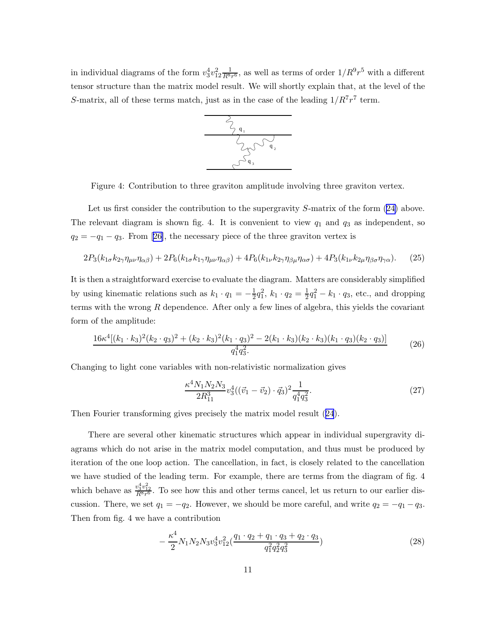<span id="page-10-0"></span>in individual diagrams of the form  $v_3^4v_{12}^2 \frac{1}{R^8r^6}$ , as well as terms of order  $1/R^9r^5$  with a different tensor structure than the matrix model result. We will shortly explain that, at the level of the S-matrix, all of these terms match, just as in the case of the leading  $1/R^7r^7$  term.



Figure 4: Contribution to three graviton amplitude involving three graviton vertex.

Let us first consider the contribution to the supergravity S-matrix of the form  $(24)$  above. The relevant diagram is shown fig. 4. It is convenient to view  $q_1$  and  $q_3$  as independent, so  $q_2 = -q_1 - q_3$  $q_2 = -q_1 - q_3$  $q_2 = -q_1 - q_3$ . From [[26\]](#page-18-0), the necessary piece of the three graviton vertex is

$$
2P_3(k_{1\sigma}k_{2\gamma}\eta_{\mu\nu}\eta_{\alpha\beta}) + 2P_6(k_{1\sigma}k_{1\gamma}\eta_{\mu\nu}\eta_{\alpha\beta}) + 4P_6(k_{1\nu}k_{2\gamma}\eta_{\beta\mu}\eta_{\alpha\sigma}) + 4P_3(k_{1\nu}k_{2\mu}\eta_{\beta\sigma}\eta_{\gamma\alpha}).
$$
 (25)

It is then a straightforward exercise to evaluate the diagram. Matters are considerably simplified by using kinematic relations such as  $k_1 \cdot q_1 = -\frac{1}{2}$  $\frac{1}{2}q_1^2, k_1 \cdot q_2 = \frac{1}{2}$  $\frac{1}{2}q_1^2 - k_1 \cdot q_3$ , etc., and dropping terms with the wrong  $R$  dependence. After only a few lines of algebra, this yields the covariant form of the amplitude:

$$
\frac{16\kappa^4[(k_1 \cdot k_3)^2(k_2 \cdot q_3)^2 + (k_2 \cdot k_3)^2(k_1 \cdot q_3)^2 - 2(k_1 \cdot k_3)(k_2 \cdot k_3)(k_1 \cdot q_3)(k_2 \cdot q_3)]}{q_1^4 q_3^2} \tag{26}
$$

Changing to light cone variables with non-relativistic normalization gives

$$
\frac{\kappa^4 N_1 N_2 N_3}{2R_{11}^3} v_3^4 \left( (\vec{v}_1 - \vec{v}_2) \cdot \vec{q}_3 \right)^2 \frac{1}{q_1^4 q_3^2}.
$$
\n(27)

Then Fourier transforming gives precisely the matrix model result([24](#page-9-0)).

There are several other kinematic structures which appear in individual supergravity diagrams which do not arise in the matrix model computation, and thus must be produced by iteration of the one loop action. The cancellation, in fact, is closely related to the cancellation we have studied of the leading term. For example, there are terms from the diagram of fig. 4 which behave as  $\frac{v_3^4 v_{12}^2}{R^8 r^6}$ . To see how this and other terms cancel, let us return to our earlier discussion. There, we set  $q_1 = -q_2$ . However, we should be more careful, and write  $q_2 = -q_1 - q_3$ . Then from fig. 4 we have a contribution

$$
-\frac{\kappa^4}{2}N_1N_2N_3v_3^4v_{12}^2(\frac{q_1\cdot q_2+q_1\cdot q_3+q_2\cdot q_3}{q_1^2q_2^2q_3^2})\tag{28}
$$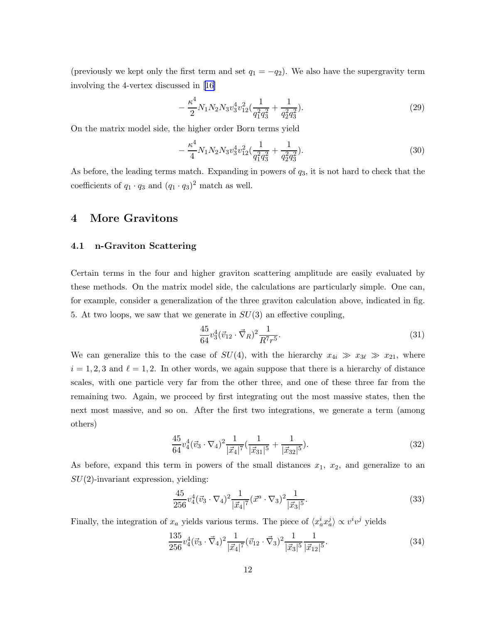<span id="page-11-0"></span>(previously we kept only the first term and set  $q_1 = -q_2$ ). We also have the supergravity term involving the 4-vertex discussed in[[16\]](#page-17-0)

$$
-\frac{\kappa^4}{2}N_1N_2N_3v_3^4v_{12}^2\left(\frac{1}{q_1^2q_3^2}+\frac{1}{q_2^2q_3^2}\right). \tag{29}
$$

On the matrix model side, the higher order Born terms yield

$$
-\frac{\kappa^4}{4}N_1N_2N_3v_3^4v_{12}^2\left(\frac{1}{q_1^2q_3^2}+\frac{1}{q_2^2q_3^2}\right). \tag{30}
$$

As before, the leading terms match. Expanding in powers of  $q_3$ , it is not hard to check that the coefficients of  $q_1 \cdot q_3$  and  $(q_1 \cdot q_3)^2$  match as well.

### 4 More Gravitons

### 4.1 n-Graviton Scattering

Certain terms in the four and higher graviton scattering amplitude are easily evaluated by these methods. On the matrix model side, the calculations are particularly simple. One can, for example, consider a generalization of the three graviton calculation above, indicated in fig. 5. At two loops, we saw that we generate in  $SU(3)$  an effective coupling,

$$
\frac{45}{64}v_3^4(\vec{v}_{12}\cdot\vec{\nabla}_R)^2\frac{1}{R^7r^5}.\tag{31}
$$

We can generalize this to the case of  $SU(4)$ , with the hierarchy  $x_{4i} \gg x_{3\ell} \gg x_{21}$ , where  $i = 1, 2, 3$  and  $\ell = 1, 2$ . In other words, we again suppose that there is a hierarchy of distance scales, with one particle very far from the other three, and one of these three far from the remaining two. Again, we proceed by first integrating out the most massive states, then the next most massive, and so on. After the first two integrations, we generate a term (among others)

$$
\frac{45}{64}v_4^4(\vec{v}_3 \cdot \nabla_4)^2 \frac{1}{|\vec{x}_4|^7} \left(\frac{1}{|\vec{x}_{31}|^5} + \frac{1}{|\vec{x}_{32}|^5}\right).
$$
\n(32)

As before, expand this term in powers of the small distances  $x_1, x_2$ , and generalize to an  $SU(2)$ -invariant expression, yielding:

$$
\frac{45}{256}v_4^4(\vec{v}_3 \cdot \nabla_4)^2 \frac{1}{|\vec{x}_4|^7} (\vec{x}^a \cdot \nabla_3)^2 \frac{1}{|\vec{x}_3|^5}.
$$
\n(33)

Finally, the integration of  $x_a$  yields various terms. The piece of  $\langle x_a^i x_a^j \rangle \propto v^i v^j$  yields

$$
\frac{135}{256}v_4^4(\vec{v}_3 \cdot \vec{\nabla}_4)^2 \frac{1}{|\vec{x}_4|^7} (\vec{v}_{12} \cdot \vec{\nabla}_3)^2 \frac{1}{|\vec{x}_3|^5} \frac{1}{|\vec{x}_{12}|^5}.
$$
 (34)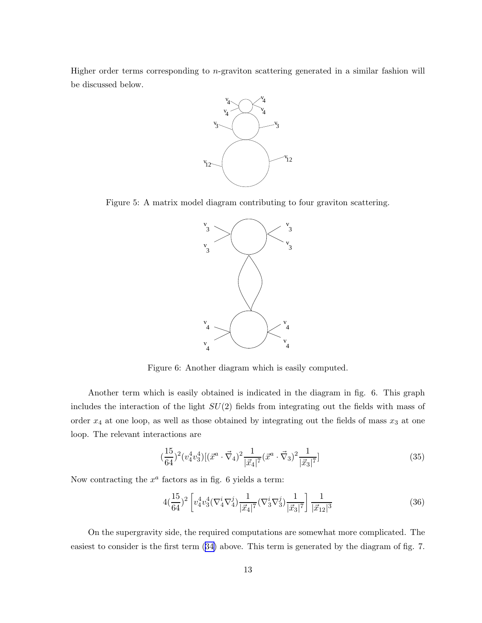<span id="page-12-0"></span>Higher order terms corresponding to  $n$ -graviton scattering generated in a similar fashion will be discussed below.



Figure 5: A matrix model diagram contributing to four graviton scattering.



Figure 6: Another diagram which is easily computed.

Another term which is easily obtained is indicated in the diagram in fig. 6. This graph includes the interaction of the light  $SU(2)$  fields from integrating out the fields with mass of order  $x_4$  at one loop, as well as those obtained by integrating out the fields of mass  $x_3$  at one loop. The relevant interactions are

$$
\left(\frac{15}{64}\right)^2 \left(v_4^4 v_3^4\right) \left[\left(\vec{x}^a \cdot \vec{\nabla}_4\right)^2 \frac{1}{|\vec{x}_4|^7} \left(\vec{x}^a \cdot \vec{\nabla}_3\right)^2 \frac{1}{|\vec{x}_3|^7}\right] \tag{35}
$$

Now contracting the  $x^a$  factors as in fig. 6 yields a term:

$$
4\left(\frac{15}{64}\right)^2 \left[ v_4^4 v_3^4 \left(\nabla_4^i \nabla_4^j\right) \frac{1}{|\vec{x}_4|^7} \left(\nabla_3^i \nabla_3^j\right) \frac{1}{|\vec{x}_3|^7} \right] \frac{1}{|\vec{x}_{12}|^3}
$$
(36)

On the supergravity side, the required computations are somewhat more complicated. The easiest to consider is the first term([34\)](#page-11-0) above. This term is generated by the diagram of fig. 7.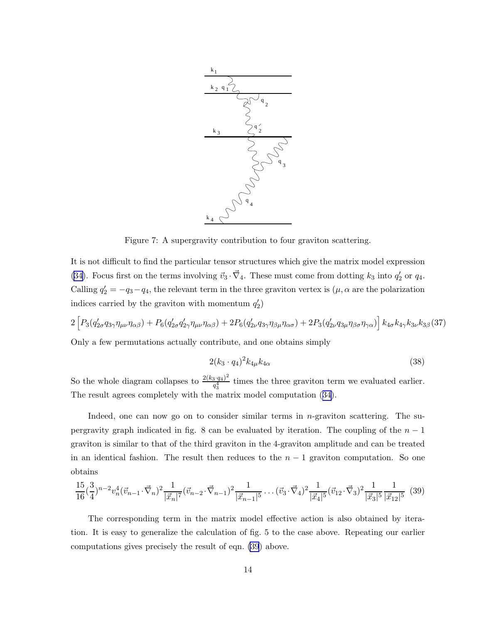

Figure 7: A supergravity contribution to four graviton scattering.

It is not difficult to find the particular tensor structures which give the matrix model expression [\(34\)](#page-11-0). Focus first on the terms involving  $\vec{v}_3 \cdot \vec{\nabla}_4$ . These must come from dotting  $k_3$  into  $q'_2$  $'_{2}$  or  $q_{4}.$ Calling  $q'_2 = -q_3 - q_4$ , the relevant term in the three graviton vertex is  $(\mu, \alpha$  are the polarization indices carried by the graviton with momentum  $q'_2$  $\binom{1}{2}$ 

 $2\,\bigl[\mathit{P}_3(q'_2$  $Q'_{2\sigma}q_{3\gamma}\eta_{\mu\nu}\eta_{\alpha\beta})+P_6(q'_2)$  $q'_{2\sigma}q'_{2\gamma}\eta_{\mu\nu}\eta_{\alpha\beta})+2P_6(q'_2)$  $q'_{2\nu}q_{3\gamma}\eta_{\beta\mu}\eta_{\alpha\sigma})+2P_3(q'_2)$  $\left\{ \frac{\partial \omega}{\partial \rho} \partial_\rho \eta_{\gamma \alpha} \right) \right] k_{4 \sigma} k_{4 \gamma} k_{3 \nu} k_{3 \beta} \left( 37 \right)$ Only a few permutations actually contribute, and one obtains simply

$$
2(k_3 \cdot q_4)^2 k_{4\mu} k_{4\alpha} \tag{38}
$$

So the whole diagram collapses to  $\frac{2(k_3 \cdot q_4)^2}{q^4}$  $\frac{q_3 \cdot q_4}{q_3^4}$  times the three graviton term we evaluated earlier. The result agrees completely with the matrix model computation([34\)](#page-11-0).

Indeed, one can now go on to consider similar terms in n-graviton scattering. The supergravity graph indicated in fig. 8 can be evaluated by iteration. The coupling of the  $n-1$ graviton is similar to that of the third graviton in the 4-graviton amplitude and can be treated in an identical fashion. The result then reduces to the  $n-1$  graviton computation. So one obtains

$$
\frac{15}{16}(\frac{3}{4})^{n-2}v_n^4(\vec{v}_{n-1}\cdot\vec{\nabla}_n)^2 \frac{1}{|\vec{x}_n|^7}(\vec{v}_{n-2}\cdot\vec{\nabla}_{n-1})^2 \frac{1}{|\vec{x}_{n-1}|^5} \dots (\vec{v}_3\cdot\vec{\nabla}_4)^2 \frac{1}{|\vec{x}_4|^5}(\vec{v}_{12}\cdot\vec{\nabla}_3)^2 \frac{1}{|\vec{x}_3|^5} \frac{1}{|\vec{x}_{12}|^5} (39)
$$

The corresponding term in the matrix model effective action is also obtained by iteration. It is easy to generalize the calculation of fig. 5 to the case above. Repeating our earlier computations gives precisely the result of eqn. (39) above.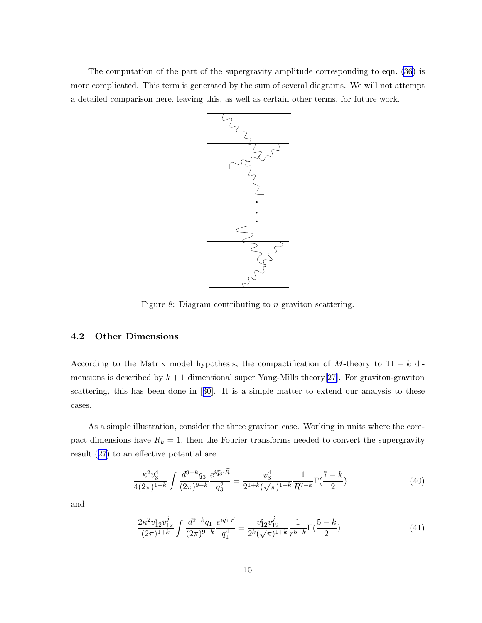The computation of the part of the supergravity amplitude corresponding to eqn. [\(36](#page-12-0)) is more complicated. This term is generated by the sum of several diagrams. We will not attempt a detailed comparison here, leaving this, as well as certain other terms, for future work.



Figure 8: Diagram contributing to *n* graviton scattering.

#### 4.2 Other Dimensions

According to the Matrix model hypothesis, the compactification of M-theory to  $11 - k$  dimensions is described by  $k + 1$  dimensional super Yang-Mills theory[\[27](#page-18-0)]. For graviton-graviton scattering, this has been done in[[30](#page-18-0)]. It is a simple matter to extend our analysis to these cases.

As a simple illustration, consider the three graviton case. Working in units where the compact dimensions have  $R_k = 1$ , then the Fourier transforms needed to convert the supergravity result([27](#page-10-0)) to an effective potential are

$$
\frac{\kappa^2 v_3^4}{4(2\pi)^{1+k}} \int \frac{d^{9-k}q_3}{(2\pi)^{9-k}} \frac{e^{i\vec{q}_3 \cdot \vec{R}}}{q_3^2} = \frac{v_3^4}{2^{1+k}(\sqrt{\pi})^{1+k}} \frac{1}{R^{7-k}} \Gamma(\frac{7-k}{2})
$$
(40)

and

$$
\frac{2\kappa^2 v_{12}^i v_{12}^j}{(2\pi)^{1+k}} \int \frac{d^{9-k}q_1}{(2\pi)^{9-k}} \frac{e^{i\vec{q}_1 \cdot \vec{r}}}{q_1^4} = \frac{v_{12}^i v_{12}^j}{2^k (\sqrt{\pi})^{1+k}} \frac{1}{r^{5-k}} \Gamma(\frac{5-k}{2}).\tag{41}
$$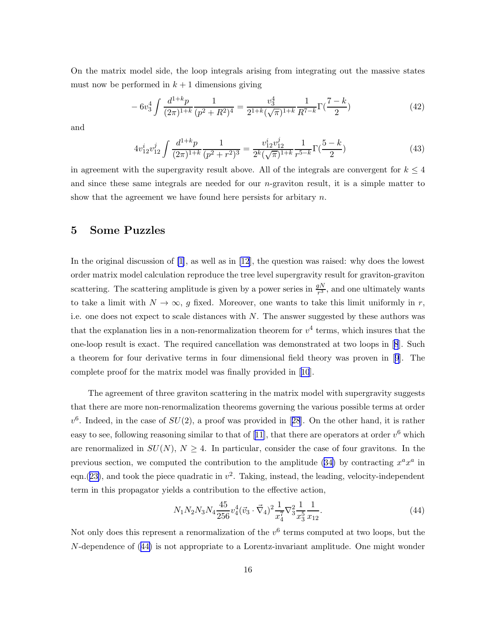<span id="page-15-0"></span>On the matrix model side, the loop integrals arising from integrating out the massive states must now be performed in  $k + 1$  dimensions giving

$$
-6v_3^4 \int \frac{d^{1+k}p}{(2\pi)^{1+k}} \frac{1}{(p^2+R^2)^4} = \frac{v_3^4}{2^{1+k}(\sqrt{\pi})^{1+k}} \frac{1}{R^{7-k}} \Gamma(\frac{7-k}{2})
$$
(42)

and

$$
4v_{12}^i v_{12}^j \int \frac{d^{1+k}p}{(2\pi)^{1+k}} \frac{1}{(p^2+r^2)^3} = \frac{v_{12}^i v_{12}^j}{2^k (\sqrt{\pi})^{1+k}} \frac{1}{r^{5-k}} \Gamma(\frac{5-k}{2})
$$
(43)

in agreement with the supergravity result above. All of the integrals are convergent for  $k \leq 4$ and since these same integrals are needed for our  $n$ -graviton result, it is a simple matter to show that the agreement we have found here persists for arbitrary  $n$ .

## 5 Some Puzzles

In the original discussion of [\[1\]](#page-16-0), as well as in [\[12](#page-17-0)], the question was raised: why does the lowest order matrix model calculation reproduce the tree level supergravity result for graviton-graviton scattering. The scattering amplitude is given by a power series in  $\frac{gN}{r^3}$ , and one ultimately wants to take a limit with  $N \to \infty$ , g fixed. Moreover, one wants to take this limit uniformly in r, i.e. one does not expect to scale distances with  $N$ . The answer suggested by these authors was that the explanation lies in a non-renormalization theorem for  $v^4$  terms, which insures that the one-loop result is exact. The required cancellation was demonstrated at two loops in[[8](#page-17-0)]. Such a theorem for four derivative terms in four dimensional field theory was proven in[[9](#page-17-0)]. The complete proof for the matrix model was finally provided in[[10](#page-17-0)].

The agreement of three graviton scattering in the matrix model with supergravity suggests that there are more non-renormalization theorems governing the various possible terms at order  $v^6$ .Indeed, in the case of  $SU(2)$ , a proof was provided in [[28](#page-18-0)]. On the other hand, it is rather easy to see, following reasoning similar to that of [\[11\]](#page-17-0), that there are operators at order  $v^6$  which are renormalized in  $SU(N)$ ,  $N \geq 4$ . In particular, consider the case of four gravitons. In the previoussection, we computed the contribution to the amplitude  $(34)$  $(34)$  by contracting  $x^a x^a$  in eqn.([23\)](#page-9-0), and took the piece quadratic in  $v^2$ . Taking, instead, the leading, velocity-independent term in this propagator yields a contribution to the effective action,

$$
N_1 N_2 N_3 N_4 \frac{45}{256} v_4^4 (\vec{v}_3 \cdot \vec{\nabla}_4)^2 \frac{1}{x_4^7} \nabla_3^2 \frac{1}{x_3^5} \frac{1}{x_{12}}.
$$
\n
$$
(44)
$$

Not only does this represent a renormalization of the  $v^6$  terms computed at two loops, but the N-dependence of (44) is not appropriate to a Lorentz-invariant amplitude. One might wonder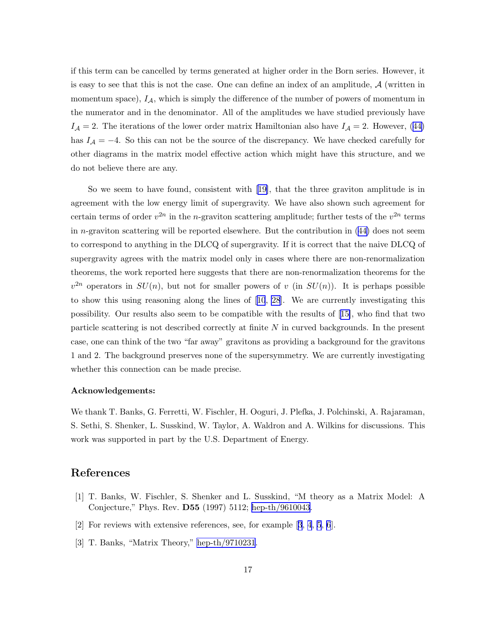<span id="page-16-0"></span>if this term can be cancelled by terms generated at higher order in the Born series. However, it is easy to see that this is not the case. One can define an index of an amplitude,  $\mathcal{A}$  (written in momentum space),  $I_A$ , which is simply the difference of the number of powers of momentum in the numerator and in the denominator. All of the amplitudes we have studied previously have  $I_A = 2$  $I_A = 2$  $I_A = 2$ . The iterations of the lower order matrix Hamiltonian also have  $I_A = 2$ . However, ([44\)](#page-15-0) has  $I_A = -4$ . So this can not be the source of the discrepancy. We have checked carefully for other diagrams in the matrix model effective action which might have this structure, and we do not believe there are any.

So we seem to have found, consistent with[[19\]](#page-17-0), that the three graviton amplitude is in agreement with the low energy limit of supergravity. We have also shown such agreement for certain terms of order  $v^{2n}$  in the *n*-graviton scattering amplitude; further tests of the  $v^{2n}$  terms in n-graviton scattering will be reported elsewhere. But the contribution in  $(44)$  does not seem to correspond to anything in the DLCQ of supergravity. If it is correct that the naive DLCQ of supergravity agrees with the matrix model only in cases where there are non-renormalization theorems, the work reported here suggests that there are non-renormalization theorems for the  $v^{2n}$  operators in  $SU(n)$ , but not for smaller powers of v (in  $SU(n)$ ). It is perhaps possible to show this using reasoning along the lines of[[10](#page-17-0), [28](#page-18-0)]. We are currently investigating this possibility. Our results also seem to be compatible with the results of[[15\]](#page-17-0), who find that two particle scattering is not described correctly at finite N in curved backgrounds. In the present case, one can think of the two "far away" gravitons as providing a background for the gravitons 1 and 2. The background preserves none of the supersymmetry. We are currently investigating whether this connection can be made precise.

#### Acknowledgements:

We thank T. Banks, G. Ferretti, W. Fischler, H. Ooguri, J. Plefka, J. Polchinski, A. Rajaraman, S. Sethi, S. Shenker, L. Susskind, W. Taylor, A. Waldron and A. Wilkins for discussions. This work was supported in part by the U.S. Department of Energy.

# References

- [1] T. Banks, W. Fischler, S. Shenker and L. Susskind, "M theory as a Matrix Model: A Conjecture," Phys. Rev. D55 (1997) 5112; [hep-th/9610043.](http://arxiv.org/abs/hep-th/9610043)
- [2] For reviews with extensive references, see, for example [3, [4](#page-17-0), [5](#page-17-0), [6](#page-17-0)].
- [3] T. Banks, "Matrix Theory," [hep-th/9710231](http://arxiv.org/abs/hep-th/9710231).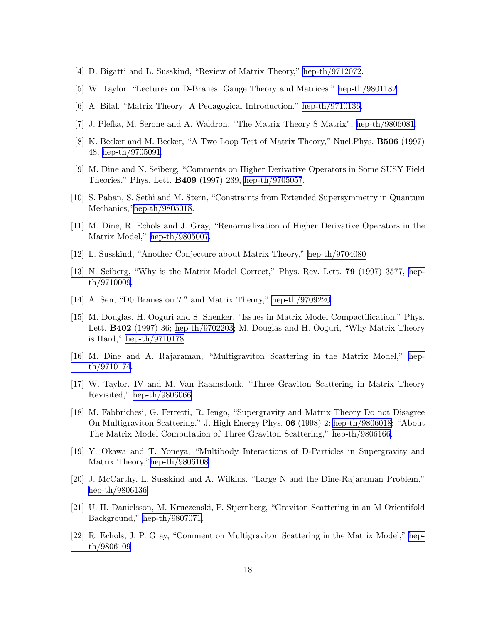- <span id="page-17-0"></span>[4] D. Bigatti and L. Susskind, "Review of Matrix Theory," [hep-th/9712072](http://arxiv.org/abs/hep-th/9712072).
- [5] W. Taylor, "Lectures on D-Branes, Gauge Theory and Matrices," [hep-th/9801182.](http://arxiv.org/abs/hep-th/9801182)
- [6] A. Bilal, "Matrix Theory: A Pedagogical Introduction," [hep-th/9710136.](http://arxiv.org/abs/hep-th/9710136)
- [7] J. Plefka, M. Serone and A. Waldron, "The Matrix Theory S Matrix", [hep-th/9806081.](http://arxiv.org/abs/hep-th/9806081)
- [8] K. Becker and M. Becker, "A Two Loop Test of Matrix Theory," Nucl.Phys. B506 (1997) 48, [hep-th/9705091](http://arxiv.org/abs/hep-th/9705091).
- [9] M. Dine and N. Seiberg, "Comments on Higher Derivative Operators in Some SUSY Field Theories," Phys. Lett. B409 (1997) 239, [hep-th/9705057](http://arxiv.org/abs/hep-th/9705057).
- [10] S. Paban, S. Sethi and M. Stern, "Constraints from Extended Supersymmetry in Quantum Mechanics,"[hep-th/9805018.](http://arxiv.org/abs/hep-th/9805018)
- [11] M. Dine, R. Echols and J. Gray, "Renormalization of Higher Derivative Operators in the Matrix Model," [hep-th/9805007.](http://arxiv.org/abs/hep-th/9805007)
- [12] L. Susskind, "Another Conjecture about Matrix Theory," [hep-th/9704080](http://arxiv.org/abs/hep-th/9704080)
- [13] N. Seiberg, "Why is the Matrix Model Correct," Phys. Rev. Lett. 79 (1997) 3577, [hep](http://arxiv.org/abs/hep-th/9710009)[th/9710009.](http://arxiv.org/abs/hep-th/9710009)
- [14] A. Sen, "D0 Branes on  $T^n$  and Matrix Theory," [hep-th/9709220.](http://arxiv.org/abs/hep-th/9709220)
- [15] M. Douglas, H. Ooguri and S. Shenker, "Issues in Matrix Model Compactification," Phys. Lett. B402 (1997) 36; [hep-th/9702203](http://arxiv.org/abs/hep-th/9702203); M. Douglas and H. Ooguri, "Why Matrix Theory is Hard," [hep-th/9710178.](http://arxiv.org/abs/hep-th/9710178)
- [16] M. Dine and A. Rajaraman, "Multigraviton Scattering in the Matrix Model," [hep](http://arxiv.org/abs/hep-th/9710174)[th/9710174.](http://arxiv.org/abs/hep-th/9710174)
- [17] W. Taylor, IV and M. Van Raamsdonk, "Three Graviton Scattering in Matrix Theory Revisited," [hep-th/9806066.](http://arxiv.org/abs/hep-th/9806066)
- [18] M. Fabbrichesi, G. Ferretti, R. Iengo, "Supergravity and Matrix Theory Do not Disagree On Multigraviton Scattering," J. High Energy Phys. 06 (1998) 2; [hep-th/9806018;](http://arxiv.org/abs/hep-th/9806018) "About The Matrix Model Computation of Three Graviton Scattering," [hep-th/9806166](http://arxiv.org/abs/hep-th/9806166).
- [19] Y. Okawa and T. Yoneya, "Multibody Interactions of D-Particles in Supergravity and Matrix Theory,"[hep-th/9806108.](http://arxiv.org/abs/hep-th/9806108)
- [20] J. McCarthy, L. Susskind and A. Wilkins, "Large N and the Dine-Rajaraman Problem," [hep-th/9806136.](http://arxiv.org/abs/hep-th/9806136)
- [21] U. H. Danielsson, M. Kruczenski, P. Stjernberg, "Graviton Scattering in an M Orientifold Background," [hep-th/9807071.](http://arxiv.org/abs/hep-th/9807071)
- [22] R. Echols, J. P. Gray, "Comment on Multigraviton Scattering in the Matrix Model," [hep](http://arxiv.org/abs/hep-th/9806109)[th/9806109](http://arxiv.org/abs/hep-th/9806109)